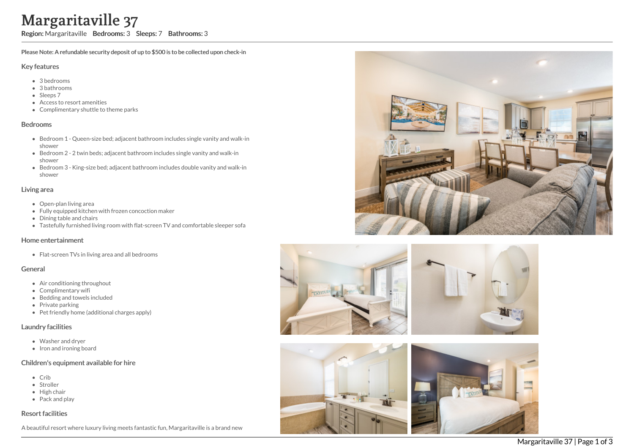# Margaritaville 37

Region: Margaritaville Bedrooms: 3 Sleeps: 7 Bathrooms: 3

Please Note: A refundable security deposit of up to \$500 is to be collected upon check-in

## Key features

- 3 b e d r o o m s
- 3 bathrooms
- Sleeps 7
- Access to resort amenities
- Complimentary shuttle to theme parks

#### **Bedrooms**

- Bedroom 1 Queen-size bed; adjacent bathroom includes single vanity and walk-in s h o w e r
- Bedroom 2 2 twin beds; adjacent bathroom includes single vanity and walk-in s h o w e r
- Bedroom 3 King-size bed; adjacent bathroom includes double vanity and walk-in s h o w e r

#### Living area

- Open-plan living area
- Fully equipped kitchen with frozen concoction maker
- Dining table and chairs
- Tastefully furnished living room with flat-screen TV and comfortable sleeper sofa

### Home entertainment

Flat-screen TVs in living area and all bedrooms

## General

- Air conditioning throughout
- Complimentary wifi
- Bedding and towels included
- Private parking
- Pet friendly home (additional charges apply)

### Laundry facilities

- Washer and dryer
- Iron and ironing board

## Children's equipment available for hire

- C rib
- S t r olle r
- Hig h c h air
- Pack and play

# Resort facilities

A beautiful resort where luxury living meets fantastic fun, Margaritaville is a brand new









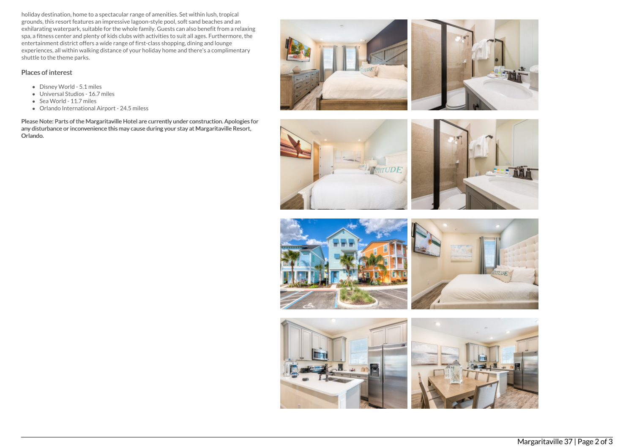holiday destination, home to a spectacular range of amenities. Set within lush, tropical grounds, this resort features an impressive lagoon-style pool, soft sand beaches and an exhilarating waterpark, suitable for the whole family. Guests can also benefit from a relaxing spa, a fitness center and plenty of kids clubs with activities to suit all ages. Furthermore, the entertainment district offers a wide range of first-class shopping, dining and lounge experiences, all within walking distance of your holiday home and there's a complimentary shuttle to the theme parks.

## Places of interest

- Disney World 5.1 miles
- Universal Studios 16.7 miles
- Sea World 11.7 miles
- Orlando International Airport 24.5 miless

Please Note: Parts of the Margaritaville Hotel are currently under construction. Apologies for any disturbance or inconvenience this may cause during your stay at Margaritaville Resort, Orlando.